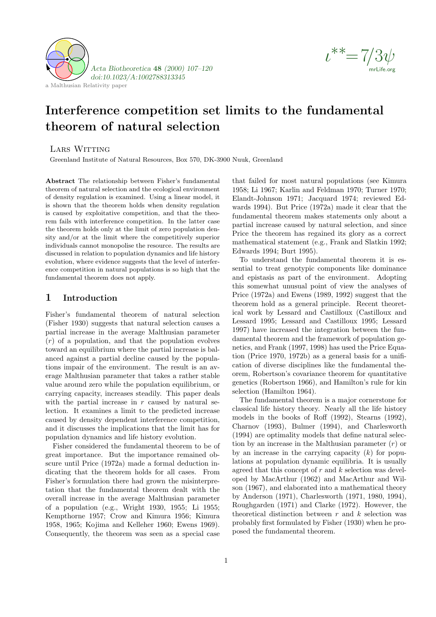



# Interference competition set limits to the fundamental theorem of natural selection

LARS WITTING

Greenland Institute of Natural Resources, Box 570, DK-3900 Nuuk, Greenland

Abstract The relationship between Fisher's fundamental theorem of natural selection and the ecological environment of density regulation is examined. Using a linear model, it is shown that the theorem holds when density regulation is caused by exploitative competition, and that the theorem fails with interference competition. In the latter case the theorem holds only at the limit of zero population density and/or at the limit where the competitively superior individuals cannot monopolise the resource. The results are discussed in relation to population dynamics and life history evolution, where evidence suggests that the level of interference competition in natural populations is so high that the fundamental theorem does not apply.

### 1 Introduction

Fisher's fundamental theorem of natural selection (Fisher 1930) suggests that natural selection causes a partial increase in the average Malthusian parameter  $(r)$  of a population, and that the population evolves toward an equilibrium where the partial increase is balanced against a partial decline caused by the populations impair of the environment. The result is an average Malthusian parameter that takes a rather stable value around zero while the population equilibrium, or carrying capacity, increases steadily. This paper deals with the partial increase in  $r$  caused by natural selection. It examines a limit to the predicted increase caused by density dependent interference competition, and it discusses the implications that the limit has for population dynamics and life history evolution.

Fisher considered the fundamental theorem to be of great importance. But the importance remained obscure until Price (1972a) made a formal deduction indicating that the theorem holds for all cases. From Fisher's formulation there had grown the misinterpretation that the fundamental theorem dealt with the overall increase in the average Malthusian parameter of a population (e.g., Wright 1930, 1955; Li 1955; Kempthorne 1957; Crow and Kimura 1956; Kimura 1958, 1965; Kojima and Kelleher 1960; Ewens 1969). Consequently, the theorem was seen as a special case that failed for most natural populations (see Kimura 1958; Li 1967; Karlin and Feldman 1970; Turner 1970; Elandt-Johnson 1971; Jacquard 1974; reviewed Edwards 1994). But Price (1972a) made it clear that the fundamental theorem makes statements only about a partial increase caused by natural selection, and since Price the theorem has regained its glory as a correct mathematical statement (e.g., Frank and Slatkin 1992; Edwards 1994; Burt 1995).

To understand the fundamental theorem it is essential to treat genotypic components like dominance and epistasis as part of the environment. Adopting this somewhat unusual point of view the analyses of Price (1972a) and Ewens (1989, 1992) suggest that the theorem hold as a general principle. Recent theoretical work by Lessard and Castilloux (Castilloux and Lessard 1995; Lessard and Castilloux 1995; Lessard 1997) have increased the integration between the fundamental theorem and the framework of population genetics, and Frank (1997, 1998) has used the Price Equation (Price 1970, 1972b) as a general basis for a unification of diverse disciplines like the fundamental theorem, Robertson's covariance theorem for quantitative genetics (Robertson 1966), and Hamilton's rule for kin selection (Hamilton 1964).

The fundamental theorem is a major cornerstone for classical life history theory. Nearly all the life history models in the books of Roff (1992), Stearns (1992), Charnov (1993), Bulmer (1994), and Charlesworth (1994) are optimality models that define natural selection by an increase in the Malthusian parameter  $(r)$  or by an increase in the carrying capacity  $(k)$  for populations at population dynamic equilibria. It is usually agreed that this concept of  $r$  and  $k$  selection was developed by MacArthur (1962) and MacArthur and Wilson (1967), and elaborated into a mathematical theory by Anderson (1971), Charlesworth (1971, 1980, 1994), Roughgarden (1971) and Clarke (1972). However, the theoretical distinction between  $r$  and  $k$  selection was probably first formulated by Fisher (1930) when he proposed the fundamental theorem.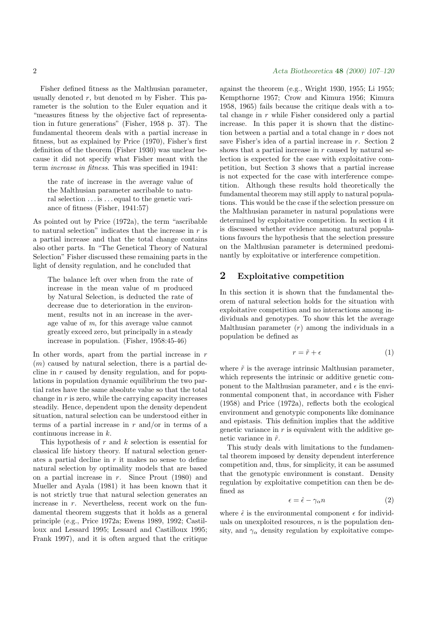Fisher defined fitness as the Malthusian parameter, usually denoted  $r$ , but denoted  $m$  by Fisher. This parameter is the solution to the Euler equation and it "measures fitness by the objective fact of representation in future generations" (Fisher, 1958 p. 37). The fundamental theorem deals with a partial increase in fitness, but as explained by Price (1970), Fisher's first definition of the theorem (Fisher 1930) was unclear because it did not specify what Fisher meant with the term increase in fitness. This was specified in 1941:

the rate of increase in the average value of the Malthusian parameter ascribable to natural selection . . . is . . . equal to the genetic variance of fitness (Fisher, 1941:57)

As pointed out by Price (1972a), the term "ascribable to natural selection" indicates that the increase in  $r$  is a partial increase and that the total change contains also other parts. In "The Genetical Theory of Natural Selection" Fisher discussed these remaining parts in the light of density regulation, and he concluded that

The balance left over when from the rate of increase in the mean value of m produced by Natural Selection, is deducted the rate of decrease due to deterioration in the environment, results not in an increase in the average value of m, for this average value cannot greatly exceed zero, but principally in a steady increase in population. (Fisher, 1958:45-46)

In other words, apart from the partial increase in  $r$  $(m)$  caused by natural selection, there is a partial decline in  $r$  caused by density regulation, and for populations in population dynamic equilibrium the two partial rates have the same absolute value so that the total change in  $r$  is zero, while the carrying capacity increases steadily. Hence, dependent upon the density dependent situation, natural selection can be understood either in terms of a partial increase in  $r$  and/or in terms of a continuous increase in k.

This hypothesis of  $r$  and  $k$  selection is essential for classical life history theory. If natural selection generates a partial decline in  $r$  it makes no sense to define natural selection by optimality models that are based on a partial increase in  $r$ . Since Prout  $(1980)$  and Mueller and Ayala (1981) it has been known that it is not strictly true that natural selection generates an increase in r. Nevertheless, recent work on the fundamental theorem suggests that it holds as a general principle (e.g., Price 1972a; Ewens 1989, 1992; Castilloux and Lessard 1995; Lessard and Castilloux 1995; Frank 1997), and it is often argued that the critique

against the theorem (e.g., Wright 1930, 1955; Li 1955; Kempthorne 1957; Crow and Kimura 1956; Kimura 1958, 1965) fails because the critique deals with a total change in  $r$  while Fisher considered only a partial increase. In this paper it is shown that the distinction between a partial and a total change in r does not save Fisher's idea of a partial increase in r. Section 2 shows that a partial increase in  $r$  caused by natural selection is expected for the case with exploitative competition, but Section 3 shows that a partial increase is not expected for the case with interference competition. Although these results hold theoretically the fundamental theorem may still apply to natural populations. This would be the case if the selection pressure on the Malthusian parameter in natural populations were determined by exploitative competition. In section 4 it is discussed whether evidence among natural populations favours the hypothesis that the selection pressure on the Malthusian parameter is determined predominantly by exploitative or interference competition.

## 2 Exploitative competition

In this section it is shown that the fundamental theorem of natural selection holds for the situation with exploitative competition and no interactions among individuals and genotypes. To show this let the average Malthusian parameter  $(r)$  among the individuals in a population be defined as

$$
r = \tilde{r} + \epsilon \tag{1}
$$

where  $\tilde{r}$  is the average intrinsic Malthusian parameter, which represents the intrinsic or additive genetic component to the Malthusian parameter, and  $\epsilon$  is the environmental component that, in accordance with Fisher (1958) and Price (1972a), reflects both the ecological environment and genotypic components like dominance and epistasis. This definition implies that the additive genetic variance in  $r$  is equivalent with the additive genetic variance in  $\tilde{r}$ .

This study deals with limitations to the fundamental theorem imposed by density dependent interference competition and, thus, for simplicity, it can be assumed that the genotypic environment is constant. Density regulation by exploitative competition can then be defined as

$$
\epsilon = \hat{\epsilon} - \gamma_{\alpha} n \tag{2}
$$

where  $\hat{\epsilon}$  is the environmental component  $\epsilon$  for individuals on unexploited resources,  $n$  is the population density, and  $\gamma_{\alpha}$  density regulation by exploitative compe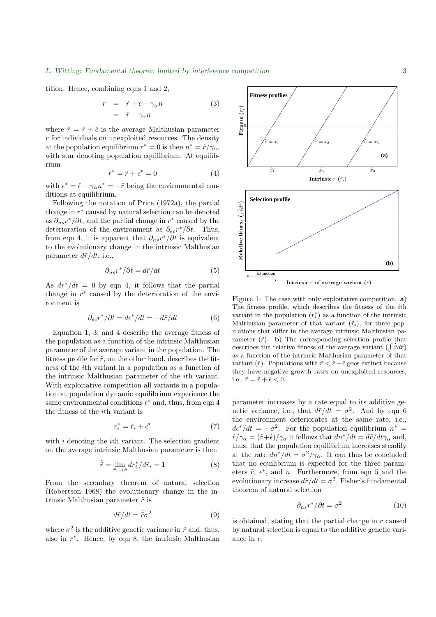tition. Hence, combining eqns 1 and 2,

$$
r = \tilde{r} + \hat{\epsilon} - \gamma_{\alpha} n \tag{3}
$$

$$
= \hat{r} - \gamma_{\alpha} n
$$

where  $\hat{r} = \tilde{r} + \hat{\epsilon}$  is the average Malthusian parameter  $r$  for individuals on unexploited resources. The density at the population equilibrium  $r^* = 0$  is then  $n^* = \hat{r}/\gamma_\alpha$ , with star denoting population equilibrium. At equilibrium

$$
r^* = \tilde{r} + \epsilon^* = 0 \tag{4}
$$

with  $\epsilon^* = \hat{\epsilon} - \gamma_\alpha n^* = -\tilde{r}$  being the environmental conditions at equilibrium.

Following the notation of Price (1972a), the partial change in r ∗ caused by natural selection can be denoted as  $\partial_{ns}r^*/\partial t$ , and the partial change in  $r^*$  caused by the deterioration of the environment as  $\partial_{ec} r^* / \partial t$ . Thus, from eqn 4, it is apparent that  $\partial_{ns}r^*/\partial t$  is equivalent to the evolutionary change in the intrinsic Malthusian parameter  $d\tilde{r}/dt$ , i.e.,

$$
\partial_{ns}r^*/\partial t = d\tilde{r}/dt\tag{5}
$$

As  $dr^*/dt = 0$  by eqn 4, it follows that the partial change in  $r^*$  caused by the deterioration of the environment is

$$
\partial_{ec}r^*/\partial t = d\epsilon^*/dt = -d\tilde{r}/dt \tag{6}
$$

Equation 1, 3, and 4 describe the average fitness of the population as a function of the intrinsic Malthusian parameter of the average variant in the population. The fitness profile for  $\tilde{r}$ , on the other hand, describes the fitness of the ith variant in a population as a function of the intrinsic Malthusian parameter of the ith variant. With exploitative competition all variants in a population at population dynamic equilibrium experience the same environmental conditions  $\epsilon^*$  and, thus, from eqn 4 the fitness of the ith variant is

$$
r_i^* = \tilde{r}_i + \epsilon^* \tag{7}
$$

with  $i$  denoting the  $i$ th variant. The selection gradient on the average intrinsic Malthusian parameter is then

$$
\dot{\tilde{r}} = \lim_{\tilde{r}_i \to \tilde{r}} dr_i^* / d\tilde{r}_i = 1 \tag{8}
$$

From the secondary theorem of natural selection (Robertson 1968) the evolutionary change in the intrinsic Malthusian parameter  $\tilde{r}$  is

$$
d\tilde{r}/dt = \dot{\tilde{r}}\sigma^2 \tag{9}
$$

where  $\sigma^2$  is the additive genetic variance in  $\tilde{r}$  and, thus, also in  $r^*$ . Hence, by eqn 8, the intrinsic Malthusian

The fitness profile, which describes the fitness of the *i*th variant in the population  $(r_i^*)$  as a function of the intrinsic Malthusian parameter of that variant  $(\tilde{r}_i)$ , for three populations that differ in the average intrinsic Malthusian parameter  $(\tilde{r})$ . b) The corresponding selection profile that describes the relative fitness of the average variant  $(\int \dot{r} d\tilde{r})$ as a function of the intrinsic Malthusian parameter of that variant  $(\tilde{r})$ . Populations with  $\tilde{r} < \hat{r} - \hat{\epsilon}$  goes extinct because they have negative growth rates on unexploited resources, i.e.,  $\hat{r} = \tilde{r} + \hat{\epsilon} < 0$ .

parameter increases by a rate equal to its additive genetic variance, i.e., that  $d\tilde{r}/dt = \sigma^2$ . And by eqn 6 the environment deteriorates at the same rate, i.e.,  $d\epsilon^*/dt = -\sigma^2$ . For the population equilibrium  $n^* =$  $\hat{r}/\gamma_{\alpha} = (\tilde{r}+\hat{\epsilon})/\gamma_{\alpha}$  it follows that  $dn^*/dt = d\tilde{r}/dt\gamma_{\alpha}$  and, thus, that the population equilibrium increases steadily at the rate  $dn^*/dt = \sigma^2/\gamma_\alpha$ . It can thus be concluded that no equilibrium is expected for the three parameters  $\tilde{r}$ ,  $\epsilon^*$ , and *n*. Furthermore, from eqn 5 and the evolutionary increase  $d\tilde{r}/dt = \sigma^2$ , Fisher's fundamental theorem of natural selection

$$
\partial_{ns}r^*/\partial t = \sigma^2 \tag{10}
$$

is obtained, stating that the partial change in  $r$  caused by natural selection is equal to the additive genetic variance in r.



1 1.5 2 2.5 3 3.5 4

**Fitness profiles**

Fitness pr

**Contract Contract Contract Contract Contract Contract Contract Contract Contract Contract Contract Contract Co** 

**Fitness**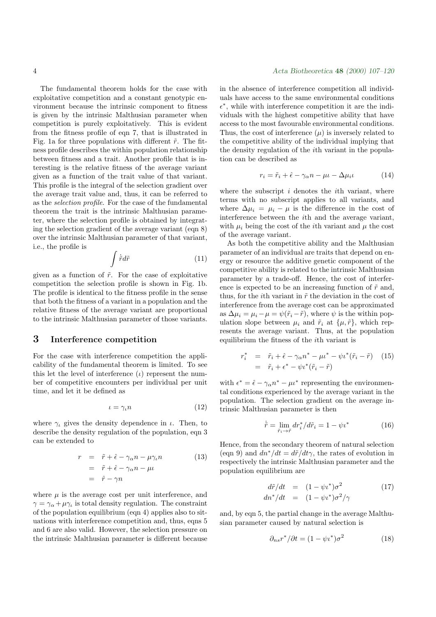The fundamental theorem holds for the case with exploitative competition and a constant genotypic environment because the intrinsic component to fitness is given by the intrinsic Malthusian parameter when competition is purely exploitatively. This is evident from the fitness profile of eqn 7, that is illustrated in Fig. 1a for three populations with different  $\tilde{r}$ . The fitness profile describes the within population relationship between fitness and a trait. Another profile that is interesting is the relative fitness of the average variant given as a function of the trait value of that variant. This profile is the integral of the selection gradient over the average trait value and, thus, it can be referred to as the selection profile. For the case of the fundamental theorem the trait is the intrinsic Malthusian parameter, where the selection profile is obtained by integrating the selection gradient of the average variant (eqn 8) over the intrinsic Malthusian parameter of that variant, i.e., the profile is

$$
\int \tilde{r}d\tilde{r} \tag{11}
$$

given as a function of  $\tilde{r}$ . For the case of exploitative competition the selection profile is shown in Fig. 1b. The profile is identical to the fitness profile in the sense that both the fitness of a variant in a population and the relative fitness of the average variant are proportional to the intrinsic Malthusian parameter of those variants.

#### 3 Interference competition

For the case with interference competition the applicability of the fundamental theorem is limited. To see this let the level of interference  $(\iota)$  represent the number of competitive encounters per individual per unit time, and let it be defined as

$$
\iota = \gamma_{\iota} n \tag{12}
$$

where  $\gamma_{\iota}$  gives the density dependence in  $\iota$ . Then, to describe the density regulation of the population, eqn 3 can be extended to

$$
r = \tilde{r} + \hat{\epsilon} - \gamma_{\alpha} n - \mu \gamma_{\iota} n
$$
  
=  $\tilde{r} + \hat{\epsilon} - \gamma_{\alpha} n - \mu \iota$   
=  $\hat{r} - \gamma n$  (13)

where  $\mu$  is the average cost per unit interference, and  $\gamma = \gamma_{\alpha} + \mu \gamma_{\iota}$  is total density regulation. The constraint of the population equilibrium (eqn 4) applies also to situations with interference competition and, thus, eqns 5 and 6 are also valid. However, the selection pressure on the intrinsic Malthusian parameter is different because

#### 4 Acta Biotheoretica 48 (2000) 107–120

in the absence of interference competition all individuals have access to the same environmental conditions  $\epsilon^*$ , while with interference competition it are the individuals with the highest competitive ability that have access to the most favourable environmental conditions. Thus, the cost of interference  $(\mu)$  is inversely related to the competitive ability of the individual implying that the density regulation of the ith variant in the population can be described as

$$
r_i = \tilde{r}_i + \hat{\epsilon} - \gamma_\alpha n - \mu \iota - \Delta \mu_i \iota \tag{14}
$$

where the subscript  $i$  denotes the *i*th variant, where terms with no subscript applies to all variants, and where  $\Delta \mu_i = \mu_i - \mu$  is the difference in the cost of interference between the ith and the average variant, with  $\mu_i$  being the cost of the *i*th variant and  $\mu$  the cost of the average variant.

As both the competitive ability and the Malthusian parameter of an individual are traits that depend on energy or resource the additive genetic component of the competitive ability is related to the intrinsic Malthusian parameter by a trade-off. Hence, the cost of interference is expected to be an increasing function of  $\tilde{r}$  and, thus, for the *i*th variant in  $\tilde{r}$  the deviation in the cost of interference from the average cost can be approximated as  $\Delta \mu_i = \mu_i - \mu = \psi(\tilde{r}_i - \tilde{r})$ , where  $\psi$  is the within population slope between  $\mu_i$  and  $\tilde{r}_i$  at  $\{\mu, \tilde{r}\}\$ , which represents the average variant. Thus, at the population equilibrium the fitness of the ith variant is

$$
r_i^* = \tilde{r}_i + \hat{\epsilon} - \gamma_\alpha n^* - \mu \tilde{r}_i - \psi \tilde{r}_i (\tilde{r}_i - \tilde{r}) \quad (15)
$$
  
= 
$$
\tilde{r}_i + \epsilon^* - \psi \tilde{r}_i (\tilde{r}_i - \tilde{r})
$$

with  $\epsilon^* = \hat{\epsilon} - \gamma_\alpha n^* - \mu \ell^*$  representing the environmental conditions experienced by the average variant in the population. The selection gradient on the average intrinsic Malthusian parameter is then

$$
\dot{\tilde{r}} = \lim_{\tilde{r}_i \to \tilde{r}} dr_i^* / d\tilde{r}_i = 1 - \psi \iota^* \tag{16}
$$

Hence, from the secondary theorem of natural selection (eqn 9) and  $dn^*/dt = d\tilde{r}/dt\gamma$ , the rates of evolution in respectively the intrinsic Malthusian parameter and the population equilibrium are

$$
d\tilde{r}/dt = (1 - \psi \iota^*)\sigma^2 \qquad (17)
$$
  

$$
dn^*/dt = (1 - \psi \iota^*)\sigma^2/\gamma
$$

and, by eqn 5, the partial change in the average Malthusian parameter caused by natural selection is

$$
\partial_{ns}r^*/\partial t = (1 - \psi t^*)\sigma^2 \tag{18}
$$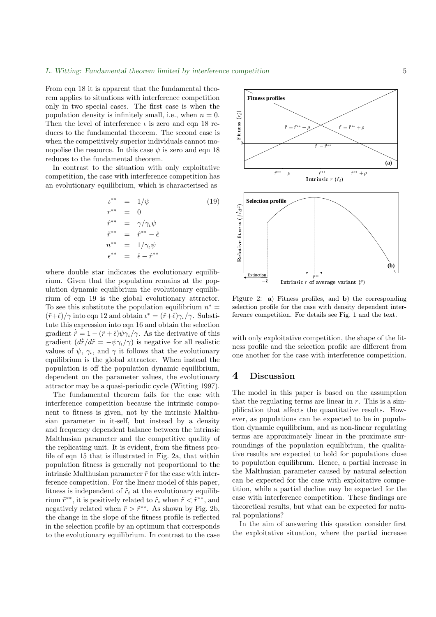From eqn 18 it is apparent that the fundamental theorem applies to situations with interference competition only in two special cases. The first case is when the population density is infinitely small, i.e., when  $n = 0$ . Then the level of interference  $\iota$  is zero and eqn 18 reduces to the fundamental theorem. The second case is when the competitively superior individuals cannot monopolise the resource. In this case  $\psi$  is zero and eqn 18 reduces to the fundamental theorem.

In contrast to the situation with only exploitative competition, the case with interference competition has an evolutionary equilibrium, which is characterised as

$$
\iota^{**} = 1/\psi \qquad (19)
$$
\n
$$
r^{**} = 0
$$
\n
$$
\hat{r}^{**} = \gamma/\gamma_{\iota}\psi
$$
\n
$$
\tilde{r}^{**} = \hat{r}^{**} - \hat{\epsilon}
$$
\n
$$
n^{**} = 1/\gamma_{\iota}\psi
$$
\n
$$
\epsilon^{**} = \hat{\epsilon} - \hat{r}^{**}
$$

where double star indicates the evolutionary equilibrium. Given that the population remains at the population dynamic equilibrium the evolutionary equilibrium of eqn 19 is the global evolutionary attractor. To see this substitute the population equilibrium  $n^* =$  $(\tilde{r}+\hat{\epsilon})/\gamma$  into eqn 12 and obtain  $\iota^* = (\tilde{r}+\hat{\epsilon})\gamma_{\iota}/\gamma$ . Substitute this expression into eqn 16 and obtain the selection gradient  $\dot{\tilde{r}} = 1 - (\tilde{r} + \hat{\epsilon})\psi\gamma_{\iota}/\gamma$ . As the derivative of this gradient  $(d\dot{\tilde{r}}/d\tilde{r} = -\psi \gamma_{\iota}/\gamma)$  is negative for all realistic values of  $\psi$ ,  $\gamma_{\iota}$ , and  $\gamma$  it follows that the evolutionary equilibrium is the global attractor. When instead the population is off the population dynamic equilibrium, dependent on the parameter values, the evolutionary attractor may be a quasi-periodic cycle (Witting 1997).

The fundamental theorem fails for the case with interference competition because the intrinsic component to fitness is given, not by the intrinsic Malthusian parameter in it-self, but instead by a density and frequency dependent balance between the intrinsic Malthusian parameter and the competitive quality of the replicating unit. It is evident, from the fitness profile of eqn 15 that is illustrated in Fig. 2a, that within population fitness is generally not proportional to the intrinsic Malthusian parameter  $\tilde{r}$  for the case with interference competition. For the linear model of this paper, fitness is independent of  $\tilde{r}_i$  at the evolutionary equilibrium  $\tilde{r}^{**}$ , it is positively related to  $\tilde{r}_i$  when  $\tilde{r} < \tilde{r}^{**}$ , and negatively related when  $\tilde{r} > \tilde{r}^{**}$ . As shown by Fig. 2b, the change in the slope of the fitness profile is reflected in the selection profile by an optimum that corresponds to the evolutionary equilibrium. In contrast to the case



selection profile for the case with density dependent inter-Figure 2: a) Fitness profiles, and b) the corresponding ference competition. For details see Fig. 1 and the text.

with only exploitative competition, the shape of the fitness profile and the selection profile are different from one another for the case with interference competition.

#### 4 Discussion

The model in this paper is based on the assumption that the regulating terms are linear in  $r$ . This is a simplification that affects the quantitative results. However, as populations can be expected to be in population dynamic equilibrium, and as non-linear regulating terms are approximately linear in the proximate surroundings of the population equilibrium, the qualitative results are expected to hold for populations close to population equilibrum. Hence, a partial increase in the Malthusian parameter caused by natural selection can be expected for the case with exploitative competition, while a partial decline may be expected for the case with interference competition. These findings are theoretical results, but what can be expected for natural populations?

In the aim of answering this question consider first the exploitative situation, where the partial increase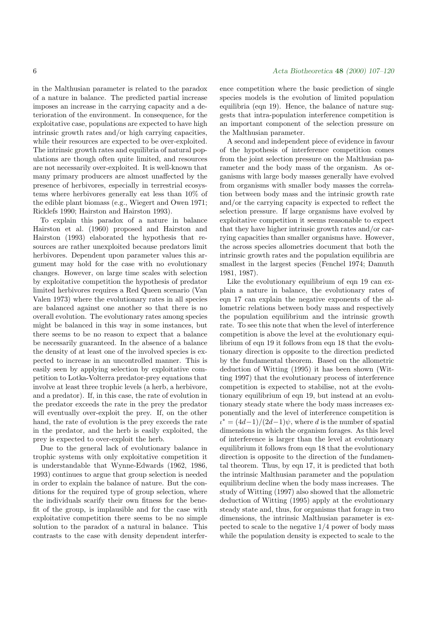in the Malthusian parameter is related to the paradox of a nature in balance. The predicted partial increase imposes an increase in the carrying capacity and a deterioration of the environment. In consequence, for the exploitative case, populations are expected to have high intrinsic growth rates and/or high carrying capacities, while their resources are expected to be over-exploited. The intrinsic growth rates and equilibria of natural populations are though often quite limited, and resources are not necessarily over-exploited. It is well-known that many primary producers are almost unaffected by the presence of herbivores, especially in terrestrial ecosystems where herbivores generally eat less than 10% of the edible plant biomass (e.g., Wiegert and Owen 1971; Ricklefs 1990; Hairston and Hairston 1993).

To explain this paradox of a nature in balance Hairston et al. (1960) proposed and Hairston and Hairston (1993) elaborated the hypothesis that resources are rather unexploited because predators limit herbivores. Dependent upon parameter values this argument may hold for the case with no evolutionary changes. However, on large time scales with selection by exploitative competition the hypothesis of predator limited herbivores requires a Red Queen scenario (Van Valen 1973) where the evolutionary rates in all species are balanced against one another so that there is no overall evolution. The evolutionary rates among species might be balanced in this way in some instances, but there seems to be no reason to expect that a balance be necessarily guaranteed. In the absence of a balance the density of at least one of the involved species is expected to increase in an uncontrolled manner. This is easily seen by applying selection by exploitative competition to Lotka-Volterra predator-prey equations that involve at least three trophic levels (a herb, a herbivore, and a predator). If, in this case, the rate of evolution in the predator exceeds the rate in the prey the predator will eventually over-exploit the prey. If, on the other hand, the rate of evolution is the prey exceeds the rate in the predator, and the herb is easily exploited, the prey is expected to over-exploit the herb.

Due to the general lack of evolutionary balance in trophic systems with only exploitative competition it is understandable that Wynne-Edwards (1962, 1986, 1993) continues to argue that group selection is needed in order to explain the balance of nature. But the conditions for the required type of group selection, where the individuals scarify their own fitness for the benefit of the group, is implausible and for the case with exploitative competition there seems to be no simple solution to the paradox of a natural in balance. This contrasts to the case with density dependent interference competition where the basic prediction of single species models is the evolution of limited population equilibria (eqn 19). Hence, the balance of nature suggests that intra-population interference competition is an important component of the selection pressure on the Malthusian parameter.

A second and independent piece of evidence in favour of the hypothesis of interference competition comes from the joint selection pressure on the Malthusian parameter and the body mass of the organism. As organisms with large body masses generally have evolved from organisms with smaller body masses the correlation between body mass and the intrinsic growth rate and/or the carrying capacity is expected to reflect the selection pressure. If large organisms have evolved by exploitative competition it seems reasonable to expect that they have higher intrinsic growth rates and/or carrying capacities than smaller organisms have. However, the across species allometries document that both the intrinsic growth rates and the population equilibria are smallest in the largest species (Fenchel 1974; Damuth 1981, 1987).

Like the evolutionary equilibrium of eqn 19 can explain a nature in balance, the evolutionary rates of eqn 17 can explain the negative exponents of the allometric relations between body mass and respectively the population equilibrium and the intrinsic growth rate. To see this note that when the level of interference competition is above the level at the evolutionary equilibrium of eqn 19 it follows from eqn 18 that the evolutionary direction is opposite to the direction predicted by the fundamental theorem. Based on the allometric deduction of Witting (1995) it has been shown (Witting 1997) that the evolutionary process of interference competition is expected to stabilise, not at the evolutionary equilibrium of eqn 19, but instead at an evolutionary steady state where the body mass increases exponentially and the level of interference competition is  $\iota^* = (4d-1)/(2d-1)\psi$ , where d is the number of spatial dimensions in which the organism forages. As this level of interference is larger than the level at evolutionary equilibrium it follows from eqn 18 that the evolutionary direction is opposite to the direction of the fundamental theorem. Thus, by eqn 17, it is predicted that both the intrinsic Malthusian parameter and the population equilibrium decline when the body mass increases. The study of Witting (1997) also showed that the allometric deduction of Witting (1995) apply at the evolutionary steady state and, thus, for organisms that forage in two dimensions, the intrinsic Malthusian parameter is expected to scale to the negative 1/4 power of body mass while the population density is expected to scale to the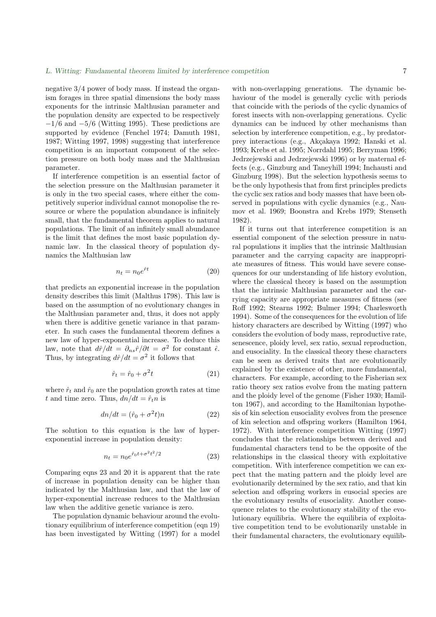negative 3/4 power of body mass. If instead the organism forages in three spatial dimensions the body mass exponents for the intrinsic Malthusian parameter and the population density are expected to be respectively  $-1/6$  and  $-5/6$  (Witting 1995). These predictions are supported by evidence (Fenchel 1974; Damuth 1981, 1987; Witting 1997, 1998) suggesting that interference competition is an important component of the selection pressure on both body mass and the Malthusian parameter.

If interference competition is an essential factor of the selection pressure on the Malthusian parameter it is only in the two special cases, where either the competitively superior individual cannot monopolise the resource or where the population abundance is infinitely small, that the fundamental theorem applies to natural populations. The limit of an infinitely small abundance is the limit that defines the most basic population dynamic law. In the classical theory of population dynamics the Malthusian law

$$
n_t = n_0 e^{\hat{r}t} \tag{20}
$$

that predicts an exponential increase in the population density describes this limit (Malthus 1798). This law is based on the assumption of no evolutionary changes in the Malthusian parameter and, thus, it does not apply when there is additive genetic variance in that parameter. In such cases the fundamental theorem defines a new law of hyper-exponential increase. To deduce this law, note that  $d\hat{r}/dt = \partial_{ns}\hat{r}/\partial t = \sigma^2$  for constant  $\hat{\epsilon}$ . Thus, by integrating  $d\hat{r}/dt = \sigma^2$  it follows that

$$
\hat{r}_t = \hat{r}_0 + \sigma^2 t \tag{21}
$$

where  $\hat{r}_t$  and  $\hat{r}_0$  are the population growth rates at time t and time zero. Thus,  $dn/dt = \hat{r}_t n$  is

$$
dn/dt = (\hat{r}_0 + \sigma^2 t)n \tag{22}
$$

The solution to this equation is the law of hyperexponential increase in population density:

$$
n_t = n_0 e^{\hat{r}_0 t + \sigma^2 t^2 / 2}
$$
\n(23)

Comparing eqns 23 and 20 it is apparent that the rate of increase in population density can be higher than indicated by the Malthusian law, and that the law of hyper-exponential increase reduces to the Malthusian law when the additive genetic variance is zero.

The population dynamic behaviour around the evolutionary equilibrium of interference competition (eqn 19) has been investigated by Witting (1997) for a model with non-overlapping generations. The dynamic behaviour of the model is generally cyclic with periods that coincide with the periods of the cyclic dynamics of forest insects with non-overlapping generations. Cyclic dynamics can be induced by other mechanisms than selection by interference competition, e.g., by predatorprey interactions (e.g., Akçakaya 1992; Hanski et al. 1993; Krebs et al. 1995; Norrdahl 1995; Berryman 1996; Jedrzejewski and Jedrzejewski 1996) or by maternal effects (e.g., Ginzburg and Taneyhill 1994; Inchausti and Ginzburg 1998). But the selection hypothesis seems to be the only hypothesis that from first principles predicts the cyclic sex ratios and body masses that have been observed in populations with cyclic dynamics (e.g., Naumov et al. 1969; Boonstra and Krebs 1979; Stenseth 1982).

If it turns out that interference competition is an essential component of the selection pressure in natural populations it implies that the intrinsic Malthusian parameter and the carrying capacity are inappropriate measures of fitness. This would have severe consequences for our understanding of life history evolution, where the classical theory is based on the assumption that the intrinsic Malthusian parameter and the carrying capacity are appropriate measures of fitness (see Roff 1992; Stearns 1992; Bulmer 1994; Charlesworth 1994). Some of the consequences for the evolution of life history characters are described by Witting (1997) who considers the evolution of body mass, reproductive rate, senescence, ploidy level, sex ratio, sexual reproduction, and eusociality. In the classical theory these characters can be seen as derived traits that are evolutionarily explained by the existence of other, more fundamental, characters. For example, according to the Fisherian sex ratio theory sex ratios evolve from the mating pattern and the ploidy level of the genome (Fisher 1930; Hamilton 1967), and according to the Hamiltonian hypothesis of kin selection eusociality evolves from the presence of kin selection and offspring workers (Hamilton 1964, 1972). With interference competition Witting (1997) concludes that the relationships between derived and fundamental characters tend to be the opposite of the relationships in the classical theory with exploitative competition. With interference competition we can expect that the mating pattern and the ploidy level are evolutionarily determined by the sex ratio, and that kin selection and offspring workers in eusocial species are the evolutionary results of eusociality. Another consequence relates to the evolutionary stability of the evolutionary equilibria. Where the equilibria of exploitative competition tend to be evolutionarily unstable in their fundamental characters, the evolutionary equilib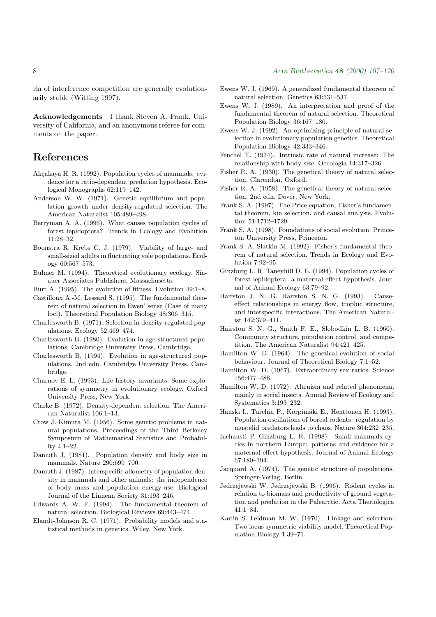ria of interference competition are generally evolutionarily stable (Witting 1997).

Acknowledgements I thank Steven A. Frank, University of California, and an anonymous referee for comments on the paper.

# References

- Akçakaya H. R. (1992). Population cycles of mammals: evidence for a ratio-dependent predation hypothesis. Ecological Monographs 62:119–142.
- Anderson W. W. (1971). Genetic equilibrium and population growth under density-regulated selection. The American Naturalist 105:489–498.
- Berryman A. A. (1996). What causes population cycles of forest lepidoptera? Trends in Ecology and Evolution 11:28–32.
- Boonstra R. Krebs C. J. (1979). Viability of large- and small-sized adults in fluctuating vole populations. Ecology 60:567–573.
- Bulmer M. (1994). Theoretical evolutionary ecology. Sinauer Associates Publishers, Massachusetts.
- Burt A. (1995). The evolution of fitness. Evolution 49:1–8.
- Castilloux A.-M. Lessard S. (1995). The fundamental theorem of natural selection in Ewen' sense (Case of many loci). Theoretical Population Biology 48:306–315.
- Charlesworth B. (1971). Selection in density-regulated populations. Ecology 52:469–474.
- Charlesworth B. (1980). Evolution in age-structured populations. Cambridge University Press, Cambridge.
- Charlesworth B. (1994). Evolution in age-structured populations. 2nd edn. Cambridge University Press, Cambridge.
- Charnov E. L. (1993). Life history invariants. Some explorations of symmetry in evolutionary ecology. Oxford University Press, New York.
- Clarke B. (1972). Density-dependent selection. The American Naturalist 106:1–13.
- Crow J. Kimura M. (1956). Some genetic problems in natural populations. Proceedings of the Third Berkeley Symposium of Mathematical Statistics and Probability 4:1–22.
- Damuth J. (1981). Population density and body size in mammals. Nature 290:699–700.
- Damuth J. (1987). Interspecific allometry of population density in mammals and other animals: the independence of body mass and population energy-use. Biological Journal of the Linnean Society 31:193–246.
- Edwards A. W. F. (1994). The fundamental theorem of natural selection. Biological Reviews 69:443–474.
- Elandt-Johnson R. C. (1971). Probability models and statistical methods in genetics. Wiley, New York.
- Ewens W. J. (1969). A generalized fundamental theorem of natural selection. Genetics 63:531–537.
- Ewens W. J. (1989). An interpretation and proof of the fundamental theorem of natural selection. Theoretical Population Biology 36:167–180.
- Ewens W. J. (1992). An optimizing principle of natural selection in evolutionary population genetics. Theoretical Population Biology 42:333–346.
- Fenchel T. (1974). Intrinsic rate of natural increase: The relationship with body size. Oecologia 14:317–326.
- Fisher R. A. (1930). The genetical theory of natural selection. Clarendon, Oxford.
- Fisher R. A. (1958). The genetical theory of natural selection. 2nd edn. Dover, New York.
- Frank S. A. (1997). The Price equation, Fisher's fundamental theorem, kin selection, and causal analysis. Evolution 51:1712–1729.
- Frank S. A. (1998). Foundations of social evolution. Princeton University Press, Princeton.
- Frank S. A. Slatkin M. (1992). Fisher's fundamental theorem of natural selection. Trends in Ecology and Evolution 7:92–95.
- Ginzburg L. R. Taneyhill D. E. (1994). Population cycles of forest lepidoptera: a maternal effect hypothesis. Journal of Animal Ecology 63:79–92.
- Hairston J. N. G. Hairston S. N. G. (1993). Causeeffect relationships in energy flow, trophic structure, and interspecific interactions. The American Naturalist 142:379–411.
- Hairston S. N. G., Smith F. E., Slobodkin L. B. (1960). Community structure, population control, and competition. The American Naturalist 94:421–425.
- Hamilton W. D. (1964). The genetical evolution of social behaviour. Journal of Theoretical Biology 7:1–52.
- Hamilton W. D. (1967). Extraordinary sex ratios. Science 156:477–488.
- Hamilton W. D. (1972). Altruism and related phenomena, mainly in social insects. Annual Review of Ecology and Systematics 3:193–232.
- Hanski I., Turchin P., Korpimäki E., Henttonen H. (1993). Population oscillations of boreal rodents: regulation by mustelid predators leads to chaos. Nature 364:232–235.
- Inchausti P. Ginzburg L. R. (1998). Small mammals cycles in northern Europe: patterns and evidence for a maternal effect hypothesis. Journal of Animal Ecology 67:180–194.
- Jacquard A. (1974). The genetic structure of populations. Springer-Verlag, Berlin.
- Jedrzejewski W. Jedrzejewski B. (1996). Rodent cycles in relation to biomass and productivity of ground vegetation and predation in the Palearctic. Acta Theriologica 41:1–34.
- Karlin S. Feldman M. W. (1970). Linkage and selection: Two locus symmetric viability model. Theoretical Population Biology 1:39–71.